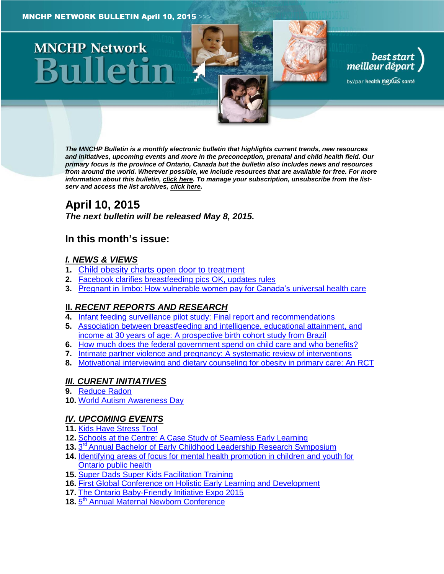# **MNCHP Network**

*The MNCHP Bulletin is a monthly electronic bulletin that highlights current trends, new resources and initiatives, upcoming events and more in the preconception, prenatal and child health field. Our primary focus is the province of Ontario, Canada but the bulletin also includes news and resources from around the world. Wherever possible, we include resources that are available for free. For more information about this bulletin[, click here.](#page-13-0) To manage your subscription, unsubscribe from the listserv and access the list archives, [click here.](http://beststart.org/services/information.html)* 

best start<br>, meilleur départ

by/par health nexus santé

# **April 10, 2015**

*The next bulletin will be released May 8, 2015.*

# **In this month's issue:**

# *[I. NEWS & VIEWS](#page-1-0)*

- **1.** [Child obesity charts open door to treatment](#page-1-1)
- **2.** [Facebook clarifies breastfeeding pics OK, updates rules](#page-2-0)
- **3.** [Pregnant in limbo: How vulnerable women pay for Canada's universal health care](#page-2-1)

# **II.** *[RECENT REPORTS AND RESEARCH](#page-2-2)*

- **4.** [Infant feeding surveillance pilot study: Final report and recommendations](#page-2-3)
- **5.** [Association between breastfeeding and intelligence, educational attainment, and](#page-3-0)  [income at 30 years of age: A prospective birth cohort study from Brazil](#page-3-0)
- **6.** [How much does the federal government spend on child care and who benefits?](#page-4-0)
- **7.** [Intimate partner violence and pregnancy: A systematic review of interventions](#page-5-0)
- **8.** [Motivational interviewing and dietary counseling for obesity in primary care: An RCT](#page-6-0)

# *[III. CURENT INITIATIVES](#page-7-0)*

- **9.** [Reduce Radon](#page-7-1)
- **10.** [World Autism Awareness Day](#page-8-0)

## *[IV. UPCOMING EVENTS](#page-8-1)*

- **11.** [Kids Have Stress Too!](#page-8-2)
- **12.** [Schools at the Centre: A Case Study of Seamless Early Learning](#page-8-3)
- 13. 3<sup>rd</sup> [Annual Bachelor of Early Childhood Leadership Research Symposium](#page-9-0)
- **14.** [Identifying areas of focus for mental health promotion in children and youth for](#page-9-1)  **[Ontario public health](#page-9-1)**
- **15.** [Super Dads Super Kids Facilitation Training](#page-9-2)
- **16.** [First Global Conference on Holistic Early Learning and Development](#page-10-0)
- **17.** [The Ontario Baby-Friendly Initiative Expo 2015](#page-10-1)
- 18. 5<sup>th</sup> [Annual Maternal Newborn Conference](#page-10-2)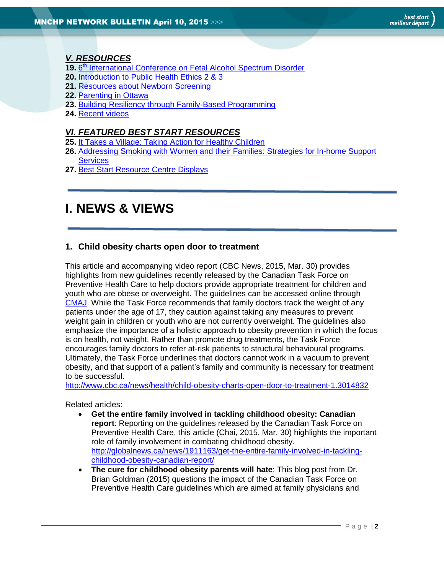# *[V. RESOURCES](#page-10-3)*

- 19. 6<sup>th</sup> [International Conference on Fetal Alcohol Spectrum Disorder](#page-10-4)
- **20.** [Introduction to Public Health Ethics 2 & 3](#page-11-0)
- **21.** [Resources about Newborn Screening](#page-11-1)
- **22.** [Parenting in Ottawa](#page-11-2)
- **23.** [Building Resiliency through Family-Based Programming](#page-12-0)
- **24.** [Recent videos](#page-12-1)

## *[VI. FEATURED BEST START RESOURCES](#page-12-2)*

- **25.** [It Takes a Village: Taking Action for Healthy Children](#page-12-3)
- **26.** [Addressing Smoking with Women and their Families: Strategies for In-home Support](#page-13-1)  **[Services](#page-13-1)**
- **27.** [Best Start Resource Centre Displays](#page-13-2)

# <span id="page-1-0"></span>**I. NEWS & VIEWS**

# <span id="page-1-1"></span>**1. Child obesity charts open door to treatment**

This article and accompanying video report (CBC News, 2015, Mar. 30) provides highlights from new guidelines recently released by the Canadian Task Force on Preventive Health Care to help doctors provide appropriate treatment for children and youth who are obese or overweight. The guidelines can be accessed online through [CMAJ.](http://www.cmaj.ca/content/early/2015/03/30/cmaj.141285) While the Task Force recommends that family doctors track the weight of any patients under the age of 17, they caution against taking any measures to prevent weight gain in children or youth who are not currently overweight. The guidelines also emphasize the importance of a holistic approach to obesity prevention in which the focus is on health, not weight. Rather than promote drug treatments, the Task Force encourages family doctors to refer at-risk patients to structural behavioural programs. Ultimately, the Task Force underlines that doctors cannot work in a vacuum to prevent obesity, and that support of a patient's family and community is necessary for treatment to be successful.

<http://www.cbc.ca/news/health/child-obesity-charts-open-door-to-treatment-1.3014832>

Related articles:

- **Get the entire family involved in tackling childhood obesity: Canadian report**: Reporting on the guidelines released by the Canadian Task Force on Preventive Health Care, this article (Chai, 2015, Mar. 30) highlights the important role of family involvement in combating childhood obesity. [http://globalnews.ca/news/1911163/get-the-entire-family-involved-in-tackling](http://globalnews.ca/news/1911163/get-the-entire-family-involved-in-tackling-childhood-obesity-canadian-report/)[childhood-obesity-canadian-report/](http://globalnews.ca/news/1911163/get-the-entire-family-involved-in-tackling-childhood-obesity-canadian-report/)
- **The cure for childhood obesity parents will hate**: This blog post from Dr. Brian Goldman (2015) questions the impact of the Canadian Task Force on Preventive Health Care guidelines which are aimed at family physicians and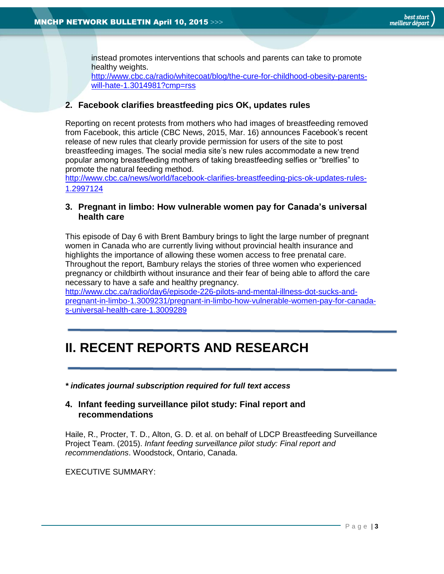instead promotes interventions that schools and parents can take to promote healthy weights.

[http://www.cbc.ca/radio/whitecoat/blog/the-cure-for-childhood-obesity-parents](http://www.cbc.ca/radio/whitecoat/blog/the-cure-for-childhood-obesity-parents-will-hate-1.3014981?cmp=rss)[will-hate-1.3014981?cmp=rss](http://www.cbc.ca/radio/whitecoat/blog/the-cure-for-childhood-obesity-parents-will-hate-1.3014981?cmp=rss)

## <span id="page-2-0"></span>**2. Facebook clarifies breastfeeding pics OK, updates rules**

Reporting on recent protests from mothers who had images of breastfeeding removed from Facebook, this article (CBC News, 2015, Mar. 16) announces Facebook's recent release of new rules that clearly provide permission for users of the site to post breastfeeding images. The social media site's new rules accommodate a new trend popular among breastfeeding mothers of taking breastfeeding selfies or "brelfies" to promote the natural feeding method.

[http://www.cbc.ca/news/world/facebook-clarifies-breastfeeding-pics-ok-updates-rules-](http://www.cbc.ca/news/world/facebook-clarifies-breastfeeding-pics-ok-updates-rules-1.2997124)[1.2997124](http://www.cbc.ca/news/world/facebook-clarifies-breastfeeding-pics-ok-updates-rules-1.2997124)

## <span id="page-2-1"></span>**3. Pregnant in limbo: How vulnerable women pay for Canada's universal health care**

This episode of Day 6 with Brent Bambury brings to light the large number of pregnant women in Canada who are currently living without provincial health insurance and highlights the importance of allowing these women access to free prenatal care. Throughout the report, Bambury relays the stories of three women who experienced pregnancy or childbirth without insurance and their fear of being able to afford the care necessary to have a safe and healthy pregnancy.

[http://www.cbc.ca/radio/day6/episode-226-pilots-and-mental-illness-dot-sucks-and](http://www.cbc.ca/radio/day6/episode-226-pilots-and-mental-illness-dot-sucks-and-pregnant-in-limbo-1.3009231/pregnant-in-limbo-how-vulnerable-women-pay-for-canada-s-universal-health-care-1.3009289)[pregnant-in-limbo-1.3009231/pregnant-in-limbo-how-vulnerable-women-pay-for-canada](http://www.cbc.ca/radio/day6/episode-226-pilots-and-mental-illness-dot-sucks-and-pregnant-in-limbo-1.3009231/pregnant-in-limbo-how-vulnerable-women-pay-for-canada-s-universal-health-care-1.3009289)[s-universal-health-care-1.3009289](http://www.cbc.ca/radio/day6/episode-226-pilots-and-mental-illness-dot-sucks-and-pregnant-in-limbo-1.3009231/pregnant-in-limbo-how-vulnerable-women-pay-for-canada-s-universal-health-care-1.3009289)

# <span id="page-2-2"></span>**II. RECENT REPORTS AND RESEARCH**

*\* indicates journal subscription required for full text access*

#### <span id="page-2-3"></span>**4. Infant feeding surveillance pilot study: Final report and recommendations**

Haile, R., Procter, T. D., Alton, G. D. et al. on behalf of LDCP Breastfeeding Surveillance Project Team. (2015). *Infant feeding surveillance pilot study: Final report and recommendations*. Woodstock, Ontario, Canada.

EXECUTIVE SUMMARY: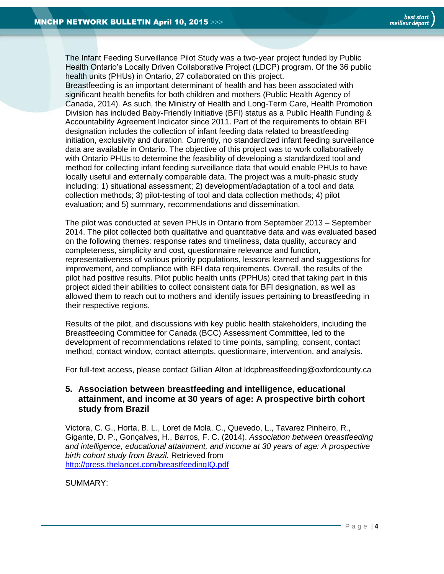The Infant Feeding Surveillance Pilot Study was a two-year project funded by Public Health Ontario's Locally Driven Collaborative Project (LDCP) program. Of the 36 public health units (PHUs) in Ontario, 27 collaborated on this project.

Breastfeeding is an important determinant of health and has been associated with significant health benefits for both children and mothers (Public Health Agency of Canada, 2014). As such, the Ministry of Health and Long-Term Care, Health Promotion Division has included Baby-Friendly Initiative (BFI) status as a Public Health Funding & Accountability Agreement Indicator since 2011. Part of the requirements to obtain BFI designation includes the collection of infant feeding data related to breastfeeding initiation, exclusivity and duration. Currently, no standardized infant feeding surveillance data are available in Ontario. The objective of this project was to work collaboratively with Ontario PHUs to determine the feasibility of developing a standardized tool and method for collecting infant feeding surveillance data that would enable PHUs to have locally useful and externally comparable data. The project was a multi-phasic study including: 1) situational assessment; 2) development/adaptation of a tool and data collection methods; 3) pilot-testing of tool and data collection methods; 4) pilot evaluation; and 5) summary, recommendations and dissemination.

The pilot was conducted at seven PHUs in Ontario from September 2013 – September 2014. The pilot collected both qualitative and quantitative data and was evaluated based on the following themes: response rates and timeliness, data quality, accuracy and completeness, simplicity and cost, questionnaire relevance and function, representativeness of various priority populations, lessons learned and suggestions for improvement, and compliance with BFI data requirements. Overall, the results of the pilot had positive results. Pilot public health units (PPHUs) cited that taking part in this project aided their abilities to collect consistent data for BFI designation, as well as allowed them to reach out to mothers and identify issues pertaining to breastfeeding in their respective regions.

Results of the pilot, and discussions with key public health stakeholders, including the Breastfeeding Committee for Canada (BCC) Assessment Committee, led to the development of recommendations related to time points, sampling, consent, contact method, contact window, contact attempts, questionnaire, intervention, and analysis.

For full-text access, please contact Gillian Alton at ldcpbreastfeeding@oxfordcounty.ca

## <span id="page-3-0"></span>**5. Association between breastfeeding and intelligence, educational attainment, and income at 30 years of age: A prospective birth cohort study from Brazil**

Victora, C. G., Horta, B. L., Loret de Mola, C., Quevedo, L., Tavarez Pinheiro, R., Gigante, D. P., Gonçalves, H., Barros, F. C. (2014). *Association between breastfeeding and intelligence, educational attainment, and income at 30 years of age: A prospective birth cohort study from Brazil.* Retrieved from <http://press.thelancet.com/breastfeedingIQ.pdf>

SUMMARY: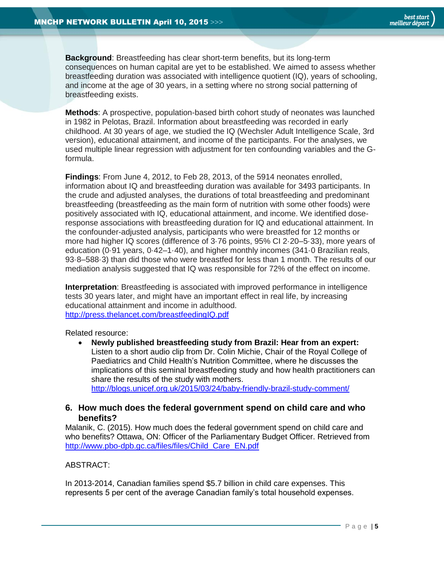**Background**: Breastfeeding has clear short-term benefits, but its long-term consequences on human capital are yet to be established. We aimed to assess whether breastfeeding duration was associated with intelligence quotient (IQ), years of schooling, and income at the age of 30 years, in a setting where no strong social patterning of breastfeeding exists.

**Methods**: A prospective, population-based birth cohort study of neonates was launched in 1982 in Pelotas, Brazil. Information about breastfeeding was recorded in early childhood. At 30 years of age, we studied the IQ (Wechsler Adult Intelligence Scale, 3rd version), educational attainment, and income of the participants. For the analyses, we used multiple linear regression with adjustment for ten confounding variables and the Gformula.

**Findings**: From June 4, 2012, to Feb 28, 2013, of the 5914 neonates enrolled, information about IQ and breastfeeding duration was available for 3493 participants. In the crude and adjusted analyses, the durations of total breastfeeding and predominant breastfeeding (breastfeeding as the main form of nutrition with some other foods) were positively associated with IQ, educational attainment, and income. We identified doseresponse associations with breastfeeding duration for IQ and educational attainment. In the confounder-adjusted analysis, participants who were breastfed for 12 months or more had higher IQ scores (difference of 3·76 points, 95% CI 2·20–5·33), more years of education (0·91 years, 0·42–1·40), and higher monthly incomes (341·0 Brazilian reals, 93·8–588·3) than did those who were breastfed for less than 1 month. The results of our mediation analysis suggested that IQ was responsible for 72% of the effect on income.

**Interpretation**: Breastfeeding is associated with improved performance in intelligence tests 30 years later, and might have an important effect in real life, by increasing educational attainment and income in adulthood. <http://press.thelancet.com/breastfeedingIQ.pdf>

Related resource:

 **Newly published breastfeeding study from Brazil: Hear from an expert:**  Listen to a short audio clip from Dr. Colin Michie, Chair of the Royal College of Paediatrics and Child Health's Nutrition Committee, where he discusses the implications of this seminal breastfeeding study and how health practitioners can share the results of the study with mothers. <http://blogs.unicef.org.uk/2015/03/24/baby-friendly-brazil-study-comment/>

## <span id="page-4-0"></span>**6. How much does the federal government spend on child care and who benefits?**

Malanik, C. (2015). How much does the federal government spend on child care and who benefits? Ottawa, ON: Officer of the Parliamentary Budget Officer. Retrieved from [http://www.pbo-dpb.gc.ca/files/files/Child\\_Care\\_EN.pdf](http://www.pbo-dpb.gc.ca/files/files/Child_Care_EN.pdf)

#### ABSTRACT:

In 2013-2014, Canadian families spend \$5.7 billion in child care expenses. This represents 5 per cent of the average Canadian family's total household expenses.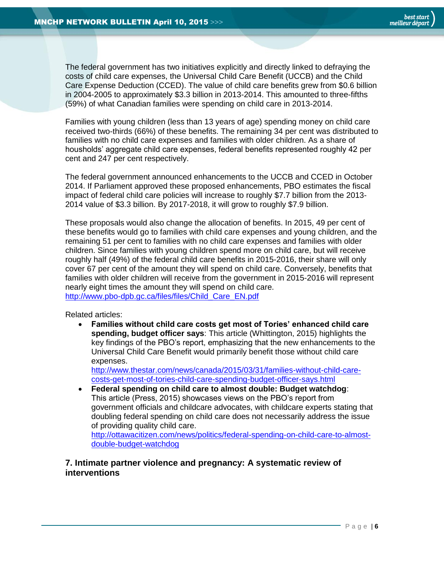The federal government has two initiatives explicitly and directly linked to defraying the costs of child care expenses, the Universal Child Care Benefit (UCCB) and the Child Care Expense Deduction (CCED). The value of child care benefits grew from \$0.6 billion in 2004-2005 to approximately \$3.3 billion in 2013-2014. This amounted to three-fifths (59%) of what Canadian families were spending on child care in 2013-2014.

Families with young children (less than 13 years of age) spending money on child care received two-thirds (66%) of these benefits. The remaining 34 per cent was distributed to families with no child care expenses and families with older children. As a share of housholds' aggregate child care expenses, federal benefits represented roughly 42 per cent and 247 per cent respectively.

The federal government announced enhancements to the UCCB and CCED in October 2014. If Parliament approved these proposed enhancements, PBO estimates the fiscal impact of federal child care policies will increase to roughly \$7.7 billion from the 2013- 2014 value of \$3.3 billion. By 2017-2018, it will grow to roughly \$7.9 billion.

These proposals would also change the allocation of benefits. In 2015, 49 per cent of these benefits would go to families with child care expenses and young children, and the remaining 51 per cent to families with no child care expenses and families with older children. Since families with young children spend more on child care, but will receive roughly half (49%) of the federal child care benefits in 2015-2016, their share will only cover 67 per cent of the amount they will spend on child care. Conversely, benefits that families with older children will receive from the government in 2015-2016 will represent nearly eight times the amount they will spend on child care. [http://www.pbo-dpb.gc.ca/files/files/Child\\_Care\\_EN.pdf](http://www.pbo-dpb.gc.ca/files/files/Child_Care_EN.pdf)

Related articles:

 **Families without child care costs get most of Tories' enhanced child care spending, budget officer says**: This article (Whittington, 2015) highlights the key findings of the PBO's report, emphasizing that the new enhancements to the Universal Child Care Benefit would primarily benefit those without child care expenses.

[http://www.thestar.com/news/canada/2015/03/31/families-without-child-care](http://www.thestar.com/news/canada/2015/03/31/families-without-child-care-costs-get-most-of-tories-child-care-spending-budget-officer-says.html)[costs-get-most-of-tories-child-care-spending-budget-officer-says.html](http://www.thestar.com/news/canada/2015/03/31/families-without-child-care-costs-get-most-of-tories-child-care-spending-budget-officer-says.html)

 **Federal spending on child care to almost double: Budget watchdog**: This article (Press, 2015) showcases views on the PBO's report from government officials and childcare advocates, with childcare experts stating that doubling federal spending on child care does not necessarily address the issue of providing quality child care.

[http://ottawacitizen.com/news/politics/federal-spending-on-child-care-to-almost](http://ottawacitizen.com/news/politics/federal-spending-on-child-care-to-almost-double-budget-watchdog)[double-budget-watchdog](http://ottawacitizen.com/news/politics/federal-spending-on-child-care-to-almost-double-budget-watchdog)

## <span id="page-5-0"></span>**7. Intimate partner violence and pregnancy: A systematic review of interventions**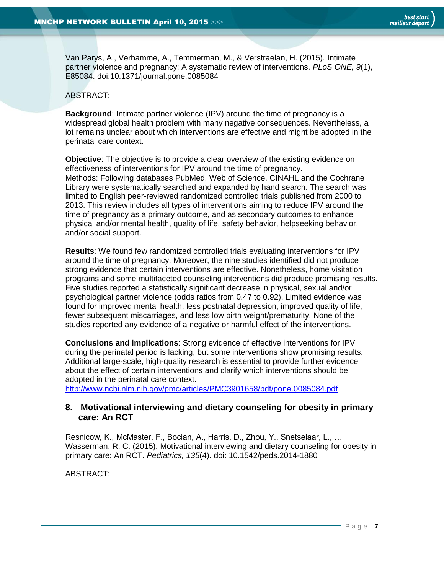Van Parys, A., Verhamme, A., Temmerman, M., & Verstraelan, H. (2015). Intimate partner violence and pregnancy: A systematic review of interventions. *PLoS ONE, 9*(1), E85084. doi:10.1371/journal.pone.0085084

## ABSTRACT:

**Background**: Intimate partner violence (IPV) around the time of pregnancy is a widespread global health problem with many negative consequences. Nevertheless, a lot remains unclear about which interventions are effective and might be adopted in the perinatal care context.

**Objective**: The objective is to provide a clear overview of the existing evidence on effectiveness of interventions for IPV around the time of pregnancy. Methods: Following databases PubMed, Web of Science, CINAHL and the Cochrane Library were systematically searched and expanded by hand search. The search was limited to English peer-reviewed randomized controlled trials published from 2000 to 2013. This review includes all types of interventions aiming to reduce IPV around the time of pregnancy as a primary outcome, and as secondary outcomes to enhance physical and/or mental health, quality of life, safety behavior, helpseeking behavior, and/or social support.

**Results**: We found few randomized controlled trials evaluating interventions for IPV around the time of pregnancy. Moreover, the nine studies identified did not produce strong evidence that certain interventions are effective. Nonetheless, home visitation programs and some multifaceted counseling interventions did produce promising results. Five studies reported a statistically significant decrease in physical, sexual and/or psychological partner violence (odds ratios from 0.47 to 0.92). Limited evidence was found for improved mental health, less postnatal depression, improved quality of life, fewer subsequent miscarriages, and less low birth weight/prematurity. None of the studies reported any evidence of a negative or harmful effect of the interventions.

**Conclusions and implications**: Strong evidence of effective interventions for IPV during the perinatal period is lacking, but some interventions show promising results. Additional large-scale, high-quality research is essential to provide further evidence about the effect of certain interventions and clarify which interventions should be adopted in the perinatal care context.

<http://www.ncbi.nlm.nih.gov/pmc/articles/PMC3901658/pdf/pone.0085084.pdf>

## <span id="page-6-0"></span>**8. Motivational interviewing and dietary counseling for obesity in primary care: An RCT**

Resnicow, K., McMaster, F., Bocian, A., Harris, D., Zhou, Y., Snetselaar, L., … Wasserman, R. C. (2015). Motivational interviewing and dietary counseling for obesity in primary care: An RCT. *Pediatrics, 135*(4). doi: 10.1542/peds.2014-1880

ABSTRACT: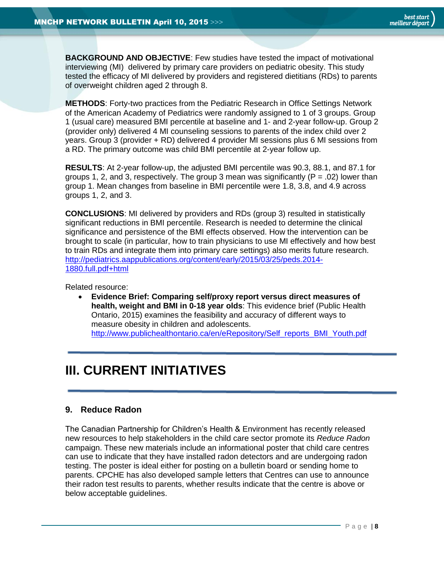**BACKGROUND AND OBJECTIVE**: Few studies have tested the impact of motivational interviewing (MI) delivered by primary care providers on pediatric obesity. This study tested the efficacy of MI delivered by providers and registered dietitians (RDs) to parents of overweight children aged 2 through 8.

**METHODS**: Forty-two practices from the Pediatric Research in Office Settings Network of the American Academy of Pediatrics were randomly assigned to 1 of 3 groups. Group 1 (usual care) measured BMI percentile at baseline and 1- and 2-year follow-up. Group 2 (provider only) delivered 4 MI counseling sessions to parents of the index child over 2 years. Group 3 (provider + RD) delivered 4 provider MI sessions plus 6 MI sessions from a RD. The primary outcome was child BMI percentile at 2-year follow up.

**RESULTS**: At 2-year follow-up, the adjusted BMI percentile was 90.3, 88.1, and 87.1 for groups 1, 2, and 3, respectively. The group 3 mean was significantly ( $P = .02$ ) lower than group 1. Mean changes from baseline in BMI percentile were 1.8, 3.8, and 4.9 across groups 1, 2, and 3.

**CONCLUSIONS**: MI delivered by providers and RDs (group 3) resulted in statistically significant reductions in BMI percentile. Research is needed to determine the clinical significance and persistence of the BMI effects observed. How the intervention can be brought to scale (in particular, how to train physicians to use MI effectively and how best to train RDs and integrate them into primary care settings) also merits future research. [http://pediatrics.aappublications.org/content/early/2015/03/25/peds.2014-](http://pediatrics.aappublications.org/content/early/2015/03/25/peds.2014-1880.full.pdf+html) [1880.full.pdf+html](http://pediatrics.aappublications.org/content/early/2015/03/25/peds.2014-1880.full.pdf+html)

Related resource:

 **Evidence Brief: Comparing self/proxy report versus direct measures of health, weight and BMI in 0-18 year olds**: This evidence brief (Public Health Ontario, 2015) examines the feasibility and accuracy of different ways to measure obesity in children and adolescents. [http://www.publichealthontario.ca/en/eRepository/Self\\_reports\\_BMI\\_Youth.pdf](http://www.publichealthontario.ca/en/eRepository/Self_reports_BMI_Youth.pdf)

# <span id="page-7-0"></span>**III. CURRENT INITIATIVES**

# <span id="page-7-1"></span>**9. Reduce Radon**

The Canadian Partnership for Children's Health & Environment has recently released new resources to help stakeholders in the child care sector promote its *Reduce Radon*  campaign. These new materials include an informational poster that child care centres can use to indicate that they have installed radon detectors and are undergoing radon testing. The poster is ideal either for posting on a bulletin board or sending home to parents. CPCHE has also developed sample letters that Centres can use to announce their radon test results to parents, whether results indicate that the centre is above or below acceptable guidelines.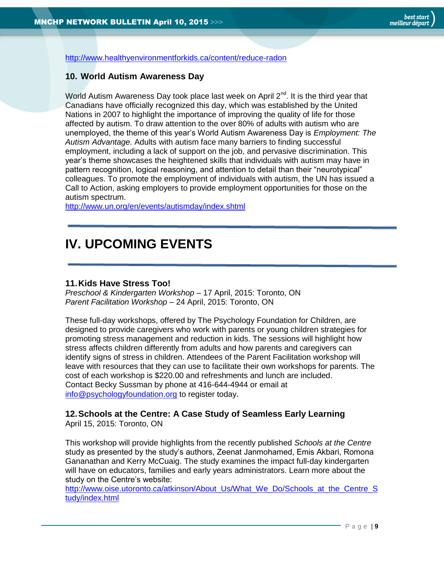<http://www.healthyenvironmentforkids.ca/content/reduce-radon>

## <span id="page-8-0"></span>**10. World Autism Awareness Day**

World Autism Awareness Day took place last week on April  $2^{nd}$ . It is the third year that Canadians have officially recognized this day, which was established by the United Nations in 2007 to highlight the importance of improving the quality of life for those affected by autism. To draw attention to the over 80% of adults with autism who are unemployed, the theme of this year's World Autism Awareness Day is *Employment: The Autism Advantage*. Adults with autism face many barriers to finding successful employment, including a lack of support on the job, and pervasive discrimination. This year's theme showcases the heightened skills that individuals with autism may have in pattern recognition, logical reasoning, and attention to detail than their "neurotypical" colleagues. To promote the employment of individuals with autism, the UN has issued a Call to Action, asking employers to provide employment opportunities for those on the autism spectrum.

<http://www.un.org/en/events/autismday/index.shtml>

# <span id="page-8-1"></span>**IV. UPCOMING EVENTS**

# <span id="page-8-2"></span>**11.Kids Have Stress Too!**

*Preschool & Kindergarten Workshop –* 17 April, 2015: Toronto, ON *Parent Facilitation Workshop* – 24 April, 2015: Toronto, ON

These full-day workshops, offered by The Psychology Foundation for Children, are designed to provide caregivers who work with parents or young children strategies for promoting stress management and reduction in kids. The sessions will highlight how stress affects children differently from adults and how parents and caregivers can identify signs of stress in children. Attendees of the Parent Facilitation workshop will leave with resources that they can use to facilitate their own workshops for parents. The cost of each workshop is \$220.00 and refreshments and lunch are included. Contact Becky Sussman by phone at 416-644-4944 or email at [info@psychologyfoundation.org](mailto:info@psychologyfoundation.org) to register today.

# <span id="page-8-3"></span>**12.Schools at the Centre: A Case Study of Seamless Early Learning**

April 15, 2015: Toronto, ON

This workshop will provide highlights from the recently published *Schools at the Centre*  study as presented by the study's authors, Zeenat Janmohamed, Emis Akbari, Romona Gananathan and Kerry McCuaig. The study examines the impact full-day kindergarten will have on educators, families and early years administrators. Learn more about the study on the Centre's website:

[http://www.oise.utoronto.ca/atkinson/About\\_Us/What\\_We\\_Do/Schools\\_at\\_the\\_Centre\\_S](http://www.oise.utoronto.ca/atkinson/About_Us/What_We_Do/Schools_at_the_Centre_Study/index.html) [tudy/index.html](http://www.oise.utoronto.ca/atkinson/About_Us/What_We_Do/Schools_at_the_Centre_Study/index.html)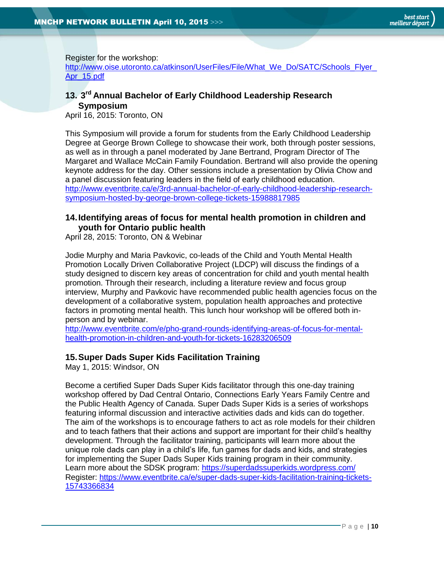Register for the workshop:

http://www.oise.utoronto.ca/atkinson/UserFiles/File/What\_We\_Do/SATC/Schools\_Flyer [Apr\\_15.pdf](http://www.oise.utoronto.ca/atkinson/UserFiles/File/What_We_Do/SATC/Schools_Flyer_Apr_15.pdf)

# <span id="page-9-0"></span>**13. 3 rd Annual Bachelor of Early Childhood Leadership Research Symposium**

April 16, 2015: Toronto, ON

This Symposium will provide a forum for students from the Early Childhood Leadership Degree at George Brown College to showcase their work, both through poster sessions, as well as in through a panel moderated by Jane Bertrand, Program Director of The Margaret and Wallace McCain Family Foundation. Bertrand will also provide the opening keynote address for the day. Other sessions include a presentation by Olivia Chow and a panel discussion featuring leaders in the field of early childhood education. [http://www.eventbrite.ca/e/3rd-annual-bachelor-of-early-childhood-leadership-research](http://www.eventbrite.ca/e/3rd-annual-bachelor-of-early-childhood-leadership-research-symposium-hosted-by-george-brown-college-tickets-15988817985)[symposium-hosted-by-george-brown-college-tickets-15988817985](http://www.eventbrite.ca/e/3rd-annual-bachelor-of-early-childhood-leadership-research-symposium-hosted-by-george-brown-college-tickets-15988817985)

# <span id="page-9-1"></span>**14.Identifying areas of focus for mental health promotion in children and youth for Ontario public health**

April 28, 2015: Toronto, ON & Webinar

Jodie Murphy and Maria Pavkovic, co-leads of the Child and Youth Mental Health Promotion Locally Driven Collaborative Project (LDCP) will discuss the findings of a study designed to discern key areas of concentration for child and youth mental health promotion. Through their research, including a literature review and focus group interview, Murphy and Pavkovic have recommended public health agencies focus on the development of a collaborative system, population health approaches and protective factors in promoting mental health. This lunch hour workshop will be offered both inperson and by webinar.

[http://www.eventbrite.com/e/pho-grand-rounds-identifying-areas-of-focus-for-mental](http://www.eventbrite.com/e/pho-grand-rounds-identifying-areas-of-focus-for-mental-health-promotion-in-children-and-youth-for-tickets-16283206509)[health-promotion-in-children-and-youth-for-tickets-16283206509](http://www.eventbrite.com/e/pho-grand-rounds-identifying-areas-of-focus-for-mental-health-promotion-in-children-and-youth-for-tickets-16283206509)

# <span id="page-9-2"></span>**15.Super Dads Super Kids Facilitation Training**

May 1, 2015: Windsor, ON

Become a certified Super Dads Super Kids facilitator through this one-day training workshop offered by Dad Central Ontario, Connections Early Years Family Centre and the Public Health Agency of Canada. Super Dads Super Kids is a series of workshops featuring informal discussion and interactive activities dads and kids can do together. The aim of the workshops is to encourage fathers to act as role models for their children and to teach fathers that their actions and support are important for their child's healthy development. Through the facilitator training, participants will learn more about the unique role dads can play in a child's life, fun games for dads and kids, and strategies for implementing the Super Dads Super Kids training program in their community. Learn more about the SDSK program:<https://superdadssuperkids.wordpress.com/> Register: [https://www.eventbrite.ca/e/super-dads-super-kids-facilitation-training-tickets-](https://www.eventbrite.ca/e/super-dads-super-kids-facilitation-training-tickets-15743366834)[15743366834](https://www.eventbrite.ca/e/super-dads-super-kids-facilitation-training-tickets-15743366834)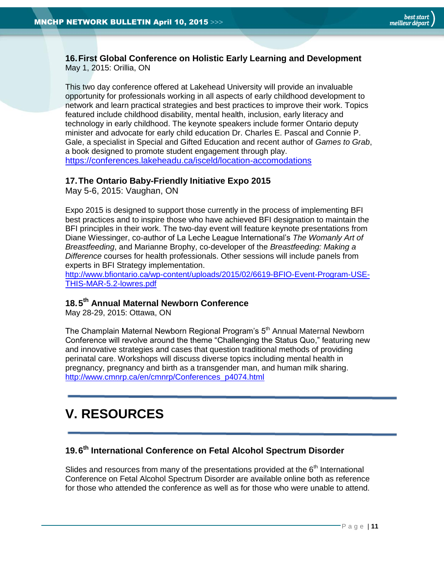#### <span id="page-10-0"></span>**16.First Global Conference on Holistic Early Learning and Development** May 1, 2015: Orillia, ON

This two day conference offered at Lakehead University will provide an invaluable opportunity for professionals working in all aspects of early childhood development to network and learn practical strategies and best practices to improve their work. Topics featured include childhood disability, mental health, inclusion, early literacy and technology in early childhood. The keynote speakers include former Ontario deputy minister and advocate for early child education Dr. Charles E. Pascal and Connie P. Gale, a specialist in Special and Gifted Education and recent author of *Games to Grab*, a book designed to promote student engagement through play. <https://conferences.lakeheadu.ca/isceld/location-accomodations>

## <span id="page-10-1"></span>**17.The Ontario Baby-Friendly Initiative Expo 2015**

May 5-6, 2015: Vaughan, ON

Expo 2015 is designed to support those currently in the process of implementing BFI best practices and to inspire those who have achieved BFI designation to maintain the BFI principles in their work. The two-day event will feature keynote presentations from Diane Wiessinger, co-author of La Leche League International's *The Womanly Art of Breastfeeding*, and Marianne Brophy, co-developer of the *Breastfeeding: Making a Difference* courses for health professionals. Other sessions will include panels from experts in BFI Strategy implementation.

[http://www.bfiontario.ca/wp-content/uploads/2015/02/6619-BFIO-Event-Program-USE-](http://www.bfiontario.ca/wp-content/uploads/2015/02/6619-BFIO-Event-Program-USE-THIS-MAR-5.2-lowres.pdf)[THIS-MAR-5.2-lowres.pdf](http://www.bfiontario.ca/wp-content/uploads/2015/02/6619-BFIO-Event-Program-USE-THIS-MAR-5.2-lowres.pdf)

# <span id="page-10-2"></span>**18.5 th Annual Maternal Newborn Conference**

May 28-29, 2015: Ottawa, ON

The Champlain Maternal Newborn Regional Program's 5<sup>th</sup> Annual Maternal Newborn Conference will revolve around the theme "Challenging the Status Quo," featuring new and innovative strategies and cases that question traditional methods of providing perinatal care. Workshops will discuss diverse topics including mental health in pregnancy, pregnancy and birth as a transgender man, and human milk sharing. [http://www.cmnrp.ca/en/cmnrp/Conferences\\_p4074.html](http://www.cmnrp.ca/en/cmnrp/Conferences_p4074.html)

# <span id="page-10-3"></span>**V. RESOURCES**

# <span id="page-10-4"></span>**19.6 th International Conference on Fetal Alcohol Spectrum Disorder**

Slides and resources from many of the presentations provided at the  $6<sup>th</sup>$  International Conference on Fetal Alcohol Spectrum Disorder are available online both as reference for those who attended the conference as well as for those who were unable to attend.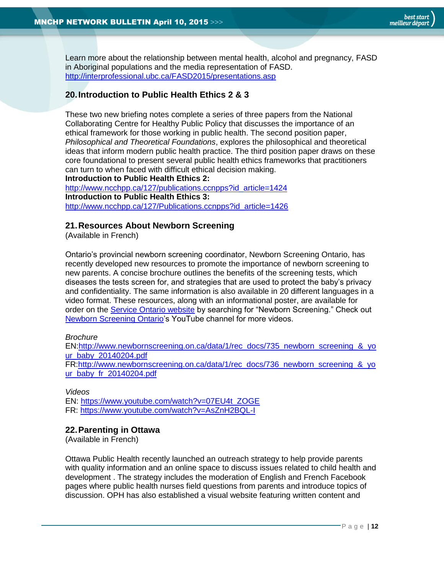Learn more about the relationship between mental health, alcohol and pregnancy, FASD in Aboriginal populations and the media representation of FASD. <http://interprofessional.ubc.ca/FASD2015/presentations.asp>

# <span id="page-11-0"></span>**20.Introduction to Public Health Ethics 2 & 3**

These two new briefing notes complete a series of three papers from the National Collaborating Centre for Healthy Public Policy that discusses the importance of an ethical framework for those working in public health. The second position paper, *Philosophical and Theoretical Foundations*, explores the philosophical and theoretical ideas that inform modern public health practice. The third position paper draws on these core foundational to present several public health ethics frameworks that practitioners can turn to when faced with difficult ethical decision making.

**Introduction to Public Health Ethics 2:**  [http://www.ncchpp.ca/127/publications.ccnpps?id\\_article=1424](http://www.ncchpp.ca/127/publications.ccnpps?id_article=1424) **Introduction to Public Health Ethics 3:**  [http://www.ncchpp.ca/127/Publications.ccnpps?id\\_article=1426](http://www.ncchpp.ca/127/Publications.ccnpps?id_article=1426)

#### <span id="page-11-1"></span>**21.Resources About Newborn Screening**

(Available in French)

Ontario's provincial newborn screening coordinator, Newborn Screening Ontario, has recently developed new resources to promote the importance of newborn screening to new parents. A concise brochure outlines the benefits of the screening tests, which diseases the tests screen for, and strategies that are used to protect the baby's privacy and confidentiality. The same information is also available in 20 different languages in a video format. These resources, along with an informational poster, are available for order on the [Service Ontario website](https://www.publications.serviceontario.ca/pubont/servlet/ecom/) by searching for "Newborn Screening." Check out [Newborn Screening Ontario'](https://www.youtube.com/user/NBSOntario/)s YouTube channel for more videos.

#### *Brochure*

EN[:http://www.newbornscreening.on.ca/data/1/rec\\_docs/735\\_newborn\\_screening\\_&\\_yo](http://www.newbornscreening.on.ca/data/1/rec_docs/735_newborn_screening_&_your_baby_20140204.pdf) [ur\\_baby\\_20140204.pdf](http://www.newbornscreening.on.ca/data/1/rec_docs/735_newborn_screening_&_your_baby_20140204.pdf)

FR[:http://www.newbornscreening.on.ca/data/1/rec\\_docs/736\\_newborn\\_screening\\_&\\_yo](http://www.newbornscreening.on.ca/data/1/rec_docs/736_newborn_screening_&_your_baby_fr_20140204.pdf) [ur\\_baby\\_fr\\_20140204.pdf](http://www.newbornscreening.on.ca/data/1/rec_docs/736_newborn_screening_&_your_baby_fr_20140204.pdf)

#### *Videos*

EN: [https://www.youtube.com/watch?v=07EU4t\\_ZOGE](https://www.youtube.com/watch?v=07EU4t_ZOGE) FR:<https://www.youtube.com/watch?v=AsZnH2BQL-I>

## <span id="page-11-2"></span>**22.Parenting in Ottawa**

(Available in French)

Ottawa Public Health recently launched an outreach strategy to help provide parents with quality information and an online space to discuss issues related to child health and development . The strategy includes the moderation of English and French Facebook pages where public health nurses field questions from parents and introduce topics of discussion. OPH has also established a visual website featuring written content and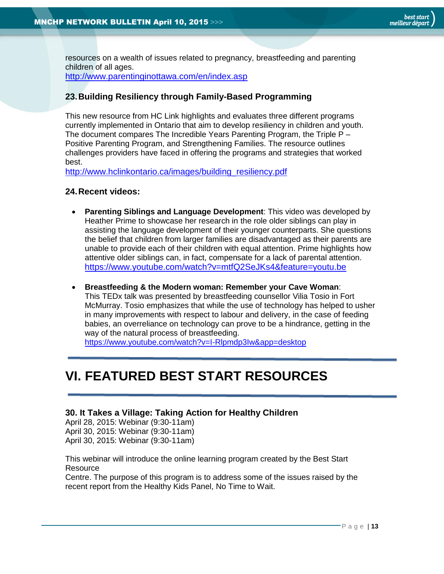resources on a wealth of issues related to pregnancy, breastfeeding and parenting children of all ages.

<http://www.parentinginottawa.com/en/index.asp>

#### <span id="page-12-0"></span>**23.Building Resiliency through Family-Based Programming**

This new resource from HC Link highlights and evaluates three different programs currently implemented in Ontario that aim to develop resiliency in children and youth. The document compares The Incredible Years Parenting Program, the Triple P – Positive Parenting Program, and Strengthening Families. The resource outlines challenges providers have faced in offering the programs and strategies that worked best.

[http://www.hclinkontario.ca/images/building\\_resiliency.pdf](http://www.hclinkontario.ca/images/building_resiliency.pdf)

#### <span id="page-12-1"></span>**24.Recent videos:**

- **Parenting Siblings and Language Development**: This video was developed by Heather Prime to showcase her research in the role older siblings can play in assisting the language development of their younger counterparts. She questions the belief that children from larger families are disadvantaged as their parents are unable to provide each of their children with equal attention. Prime highlights how attentive older siblings can, in fact, compensate for a lack of parental attention. <https://www.youtube.com/watch?v=mtfQ2SeJKs4&feature=youtu.be>
- **Breastfeeding & the Modern woman: Remember your Cave Woman**: This TEDx talk was presented by breastfeeding counsellor Vilia Tosio in Fort McMurray. Tosio emphasizes that while the use of technology has helped to usher in many improvements with respect to labour and delivery, in the case of feeding babies, an overreliance on technology can prove to be a hindrance, getting in the way of the natural process of breastfeeding.

<https://www.youtube.com/watch?v=I-Rlpmdp3Iw&app=desktop>

# <span id="page-12-2"></span>**VI. FEATURED BEST START RESOURCES**

## <span id="page-12-3"></span>**30. It Takes a Village: Taking Action for Healthy Children**

April 28, 2015: Webinar (9:30-11am) April 30, 2015: Webinar (9:30-11am) April 30, 2015: Webinar (9:30-11am)

This webinar will introduce the online learning program created by the Best Start **Resource** 

Centre. The purpose of this program is to address some of the issues raised by the recent report from the Healthy Kids Panel, No Time to Wait.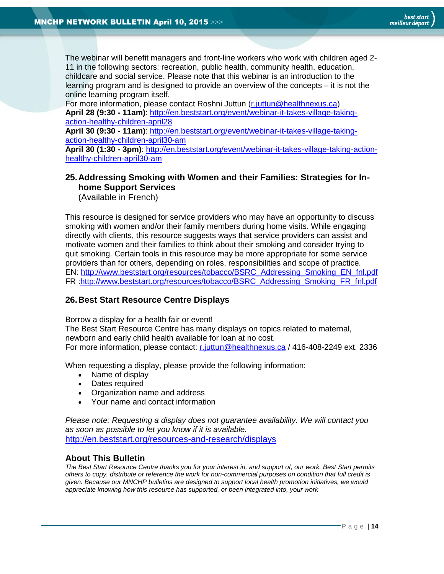The webinar will benefit managers and front-line workers who work with children aged 2- 11 in the following sectors: recreation, public health, community health, education, childcare and social service. Please note that this webinar is an introduction to the learning program and is designed to provide an overview of the concepts – it is not the online learning program itself.

For more information, please contact Roshni Juttun [\(r.juttun@healthnexus.ca\)](mailto:r.juttun@healthnexus.ca) **April 28 (9:30 - 11am)**: [http://en.beststart.org/event/webinar-it-takes-village-taking](http://en.beststart.org/event/webinar-it-takes-village-taking-action-healthy-children-april28)[action-healthy-children-april28](http://en.beststart.org/event/webinar-it-takes-village-taking-action-healthy-children-april28)

**April 30 (9:30 - 11am)**: [http://en.beststart.org/event/webinar-it-takes-village-taking](http://en.beststart.org/event/webinar-it-takes-village-taking-action-healthy-children-april30-am)[action-healthy-children-april30-am](http://en.beststart.org/event/webinar-it-takes-village-taking-action-healthy-children-april30-am)

**April 30 (1:30 - 3pm)**: [http://en.beststart.org/event/webinar-it-takes-village-taking-action](http://en.beststart.org/event/webinar-it-takes-village-taking-action-healthy-children-april30-am)[healthy-children-april30-am](http://en.beststart.org/event/webinar-it-takes-village-taking-action-healthy-children-april30-am)

## <span id="page-13-1"></span>**25.Addressing Smoking with Women and their Families: Strategies for Inhome Support Services**

(Available in French)

This resource is designed for service providers who may have an opportunity to discuss smoking with women and/or their family members during home visits. While engaging directly with clients, this resource suggests ways that service providers can assist and motivate women and their families to think about their smoking and consider trying to quit smoking. Certain tools in this resource may be more appropriate for some service providers than for others, depending on roles, responsibilities and scope of practice. EN: [http://www.beststart.org/resources/tobacco/BSRC\\_Addressing\\_Smoking\\_EN\\_fnl.pdf](http://www.beststart.org/resources/tobacco/BSRC_Addressing_Smoking_EN_fnl.pdf) FR [:http://www.beststart.org/resources/tobacco/BSRC\\_Addressing\\_Smoking\\_FR\\_fnl.pdf](http://www.beststart.org/resources/tobacco/BSRC_Addressing_Smoking_FR_fnl.pdf)

## <span id="page-13-2"></span>**26.Best Start Resource Centre Displays**

Borrow a display for a health fair or event!

The Best Start Resource Centre has many displays on topics related to maternal, newborn and early child health available for loan at no cost. For more information, please contact: [r.juttun@healthnexus.ca](mailto:r.juttun@healthnexus.ca?subject=Borrow%20a%20display%20for%20a%20health%20fair%20or%20event%21) / 416-408-2249 ext. 2336

When requesting a display, please provide the following information:

- Name of display
- Dates required
- Organization name and address
- Your name and contact information

*Please note: Requesting a display does not guarantee availability. We will contact you as soon as possible to let you know if it is available.* <http://en.beststart.org/resources-and-research/displays>

## <span id="page-13-0"></span>**About This Bulletin**

*The Best Start Resource Centre thanks you for your interest in, and support of, our work. Best Start permits others to copy, distribute or reference the work for non-commercial purposes on condition that full credit is given. Because our MNCHP bulletins are designed to support local health promotion initiatives, we would appreciate knowing how this resource has supported, or been integrated into, your work*